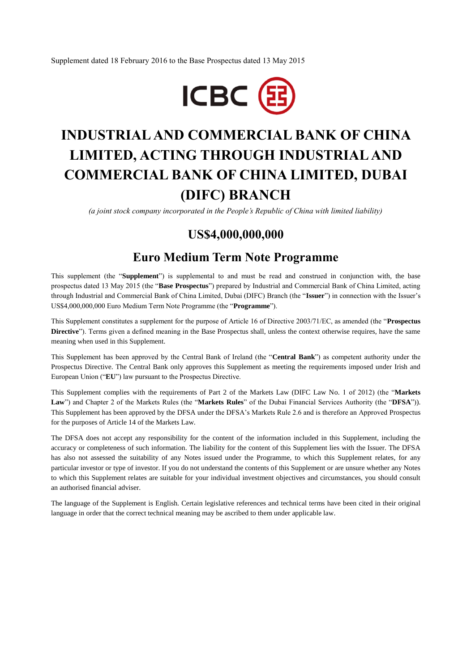Supplement dated 18 February 2016 to the Base Prospectus dated 13 May 2015



# **INDUSTRIAL AND COMMERCIAL BANK OF CHINA LIMITED, ACTING THROUGH INDUSTRIAL AND COMMERCIAL BANK OF CHINA LIMITED, DUBAI (DIFC) BRANCH**

*(a joint stock company incorporated in the People's Republic of China with limited liability)*

# **US\$4,000,000,000**

# **Euro Medium Term Note Programme**

This supplement (the "**Supplement**") is supplemental to and must be read and construed in conjunction with, the base prospectus dated 13 May 2015 (the "**Base Prospectus**") prepared by Industrial and Commercial Bank of China Limited, acting through Industrial and Commercial Bank of China Limited, Dubai (DIFC) Branch (the "**Issuer**") in connection with the Issuer's US\$4,000,000,000 Euro Medium Term Note Programme (the "**Programme**").

This Supplement constitutes a supplement for the purpose of Article 16 of Directive 2003/71/EC, as amended (the "**Prospectus Directive**"). Terms given a defined meaning in the Base Prospectus shall, unless the context otherwise requires, have the same meaning when used in this Supplement.

This Supplement has been approved by the Central Bank of Ireland (the "**Central Bank**") as competent authority under the Prospectus Directive. The Central Bank only approves this Supplement as meeting the requirements imposed under Irish and European Union ("**EU**") law pursuant to the Prospectus Directive.

This Supplement complies with the requirements of Part 2 of the Markets Law (DIFC Law No. 1 of 2012) (the "**Markets Law**") and Chapter 2 of the Markets Rules (the "**Markets Rules**" of the Dubai Financial Services Authority (the "**DFSA**")). This Supplement has been approved by the DFSA under the DFSA's Markets Rule 2.6 and is therefore an Approved Prospectus for the purposes of Article 14 of the Markets Law.

The DFSA does not accept any responsibility for the content of the information included in this Supplement, including the accuracy or completeness of such information. The liability for the content of this Supplement lies with the Issuer. The DFSA has also not assessed the suitability of any Notes issued under the Programme, to which this Supplement relates, for any particular investor or type of investor. If you do not understand the contents of this Supplement or are unsure whether any Notes to which this Supplement relates are suitable for your individual investment objectives and circumstances, you should consult an authorised financial adviser.

The language of the Supplement is English. Certain legislative references and technical terms have been cited in their original language in order that the correct technical meaning may be ascribed to them under applicable law.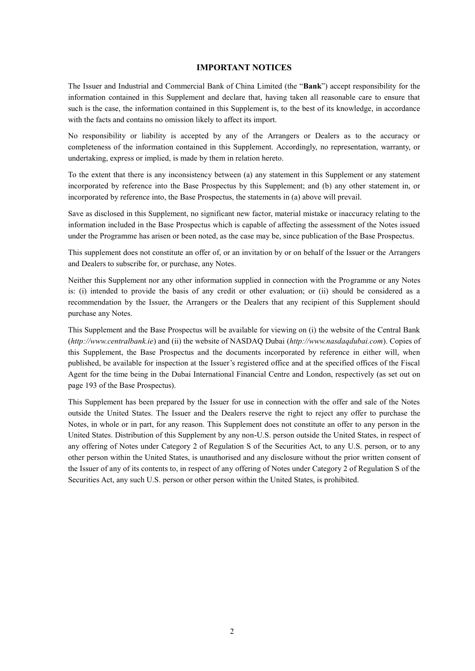# **IMPORTANT NOTICES**

The Issuer and Industrial and Commercial Bank of China Limited (the "**Bank**") accept responsibility for the information contained in this Supplement and declare that, having taken all reasonable care to ensure that such is the case, the information contained in this Supplement is, to the best of its knowledge, in accordance with the facts and contains no omission likely to affect its import.

No responsibility or liability is accepted by any of the Arrangers or Dealers as to the accuracy or completeness of the information contained in this Supplement. Accordingly, no representation, warranty, or undertaking, express or implied, is made by them in relation hereto.

To the extent that there is any inconsistency between (a) any statement in this Supplement or any statement incorporated by reference into the Base Prospectus by this Supplement; and (b) any other statement in, or incorporated by reference into, the Base Prospectus, the statements in (a) above will prevail.

Save as disclosed in this Supplement, no significant new factor, material mistake or inaccuracy relating to the information included in the Base Prospectus which is capable of affecting the assessment of the Notes issued under the Programme has arisen or been noted, as the case may be, since publication of the Base Prospectus.

This supplement does not constitute an offer of, or an invitation by or on behalf of the Issuer or the Arrangers and Dealers to subscribe for, or purchase, any Notes.

Neither this Supplement nor any other information supplied in connection with the Programme or any Notes is: (i) intended to provide the basis of any credit or other evaluation; or (ii) should be considered as a recommendation by the Issuer, the Arrangers or the Dealers that any recipient of this Supplement should purchase any Notes.

This Supplement and the Base Prospectus will be available for viewing on (i) the website of the Central Bank (*http://www.centralbank.ie*) and (ii) the website of NASDAQ Dubai (*http://www.nasdaqdubai.com*). Copies of this Supplement, the Base Prospectus and the documents incorporated by reference in either will, when published, be available for inspection at the Issuer's registered office and at the specified offices of the Fiscal Agent for the time being in the Dubai International Financial Centre and London, respectively (as set out on page 193 of the Base Prospectus).

This Supplement has been prepared by the Issuer for use in connection with the offer and sale of the Notes outside the United States. The Issuer and the Dealers reserve the right to reject any offer to purchase the Notes, in whole or in part, for any reason. This Supplement does not constitute an offer to any person in the United States. Distribution of this Supplement by any non-U.S. person outside the United States, in respect of any offering of Notes under Category 2 of Regulation S of the Securities Act, to any U.S. person, or to any other person within the United States, is unauthorised and any disclosure without the prior written consent of the Issuer of any of its contents to, in respect of any offering of Notes under Category 2 of Regulation S of the Securities Act, any such U.S. person or other person within the United States, is prohibited.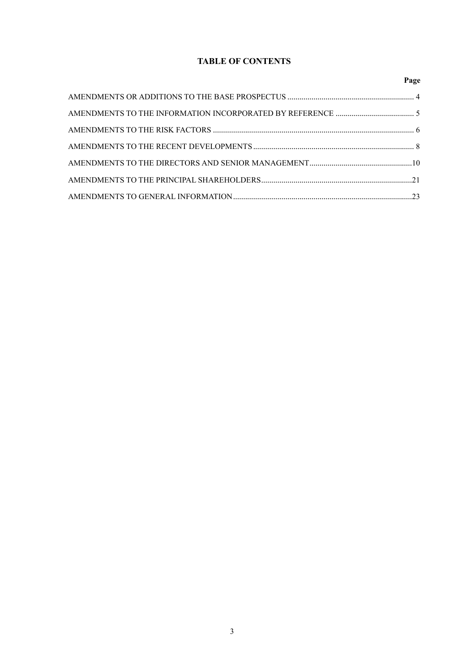# **TABLE OF CONTENTS**

| Page |
|------|
|      |
|      |
|      |
|      |
|      |
|      |
|      |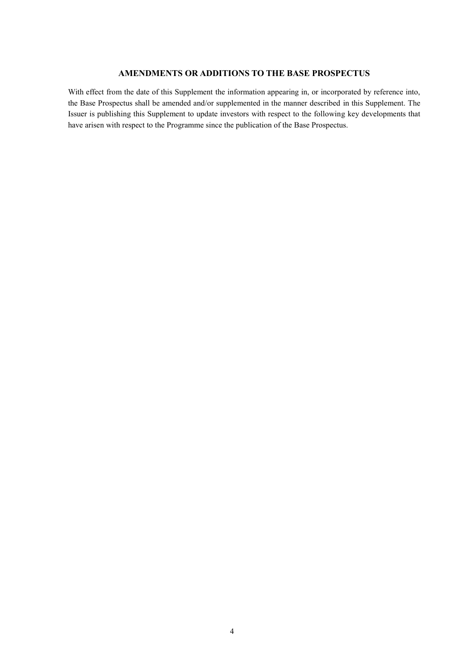# **AMENDMENTS OR ADDITIONS TO THE BASE PROSPECTUS**

With effect from the date of this Supplement the information appearing in, or incorporated by reference into, the Base Prospectus shall be amended and/or supplemented in the manner described in this Supplement. The Issuer is publishing this Supplement to update investors with respect to the following key developments that have arisen with respect to the Programme since the publication of the Base Prospectus.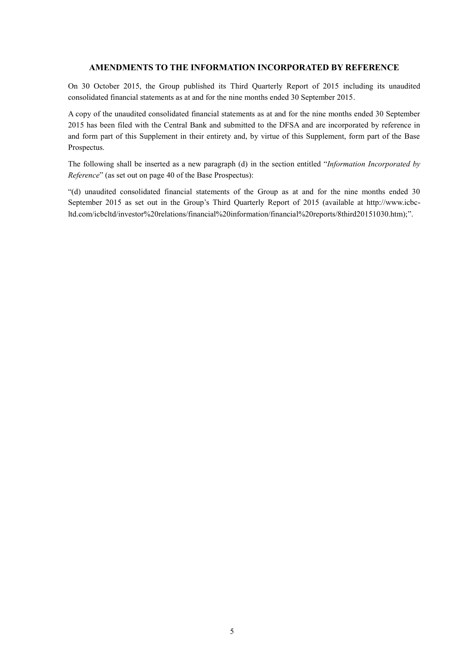# **AMENDMENTS TO THE INFORMATION INCORPORATED BY REFERENCE**

On 30 October 2015, the Group published its Third Quarterly Report of 2015 including its unaudited consolidated financial statements as at and for the nine months ended 30 September 2015.

A copy of the unaudited consolidated financial statements as at and for the nine months ended 30 September 2015 has been filed with the Central Bank and submitted to the DFSA and are incorporated by reference in and form part of this Supplement in their entirety and, by virtue of this Supplement, form part of the Base Prospectus.

The following shall be inserted as a new paragraph (d) in the section entitled "*Information Incorporated by Reference*" (as set out on page 40 of the Base Prospectus):

"(d) unaudited consolidated financial statements of the Group as at and for the nine months ended 30 September 2015 as set out in the Group's Third Quarterly Report of 2015 (available at http://www.icbcltd.com/icbcltd/investor%20relations/financial%20information/financial%20reports/8third20151030.htm);".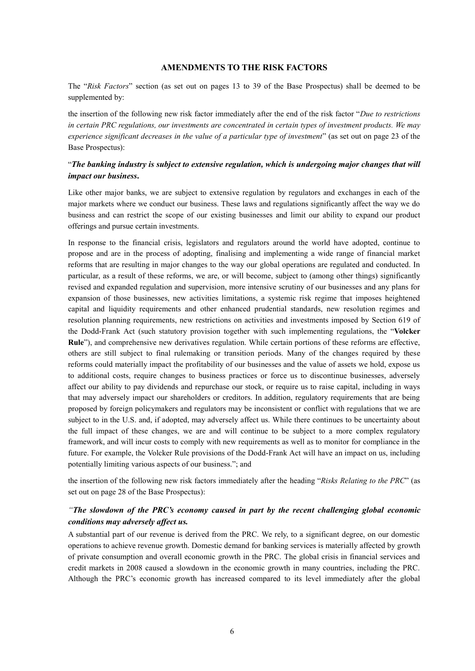# **AMENDMENTS TO THE RISK FACTORS**

The "*Risk Factors*" section (as set out on pages 13 to 39 of the Base Prospectus) shall be deemed to be supplemented by:

the insertion of the following new risk factor immediately after the end of the risk factor "*Due to restrictions in certain PRC regulations, our investments are concentrated in certain types of investment products. We may experience significant decreases in the value of a particular type of investment*" (as set out on page 23 of the Base Prospectus):

# "*The banking industry is subject to extensive regulation, which is undergoing major changes that will impact our business***.**

Like other major banks, we are subject to extensive regulation by regulators and exchanges in each of the major markets where we conduct our business. These laws and regulations significantly affect the way we do business and can restrict the scope of our existing businesses and limit our ability to expand our product offerings and pursue certain investments.

In response to the financial crisis, legislators and regulators around the world have adopted, continue to propose and are in the process of adopting, finalising and implementing a wide range of financial market reforms that are resulting in major changes to the way our global operations are regulated and conducted. In particular, as a result of these reforms, we are, or will become, subject to (among other things) significantly revised and expanded regulation and supervision, more intensive scrutiny of our businesses and any plans for expansion of those businesses, new activities limitations, a systemic risk regime that imposes heightened capital and liquidity requirements and other enhanced prudential standards, new resolution regimes and resolution planning requirements, new restrictions on activities and investments imposed by Section 619 of the Dodd-Frank Act (such statutory provision together with such implementing regulations, the "**Volcker Rule**"), and comprehensive new derivatives regulation. While certain portions of these reforms are effective, others are still subject to final rulemaking or transition periods. Many of the changes required by these reforms could materially impact the profitability of our businesses and the value of assets we hold, expose us to additional costs, require changes to business practices or force us to discontinue businesses, adversely affect our ability to pay dividends and repurchase our stock, or require us to raise capital, including in ways that may adversely impact our shareholders or creditors. In addition, regulatory requirements that are being proposed by foreign policymakers and regulators may be inconsistent or conflict with regulations that we are subject to in the U.S. and, if adopted, may adversely affect us. While there continues to be uncertainty about the full impact of these changes, we are and will continue to be subject to a more complex regulatory framework, and will incur costs to comply with new requirements as well as to monitor for compliance in the future. For example, the Volcker Rule provisions of the Dodd-Frank Act will have an impact on us, including potentially limiting various aspects of our business."; and

the insertion of the following new risk factors immediately after the heading "*Risks Relating to the PRC*" (as set out on page 28 of the Base Prospectus):

# *"The slowdown of the PRC's economy caused in part by the recent challenging global economic conditions may adversely affect us.*

A substantial part of our revenue is derived from the PRC. We rely, to a significant degree, on our domestic operations to achieve revenue growth. Domestic demand for banking services is materially affected by growth of private consumption and overall economic growth in the PRC. The global crisis in financial services and credit markets in 2008 caused a slowdown in the economic growth in many countries, including the PRC. Although the PRC's economic growth has increased compared to its level immediately after the global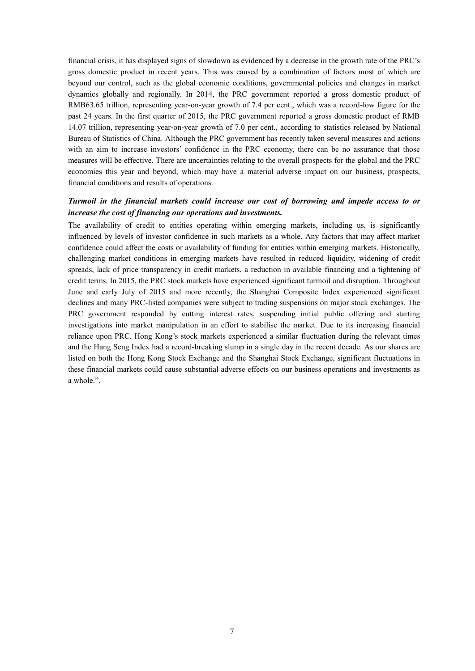financial crisis, it has displayed signs of slowdown as evidenced by a decrease in the growth rate of the PRC's gross domestic product in recent years. This was caused by a combination of factors most of which are beyond our control, such as the global economic conditions, governmental policies and changes in market dynamics globally and regionally. In 2014, the PRC government reported a gross domestic product of RMB63.65 trillion, representing year-on-year growth of 7.4 per cent., which was a record-low figure for the past 24 years. In the first quarter of 2015, the PRC government reported a gross domestic product of RMB 14.07 trillion, representing year-on-year growth of 7.0 per cent., according to statistics released by National Bureau of Statistics of China. Although the PRC government has recently taken several measures and actions with an aim to increase investors' confidence in the PRC economy, there can be no assurance that those measures will be effective. There are uncertainties relating to the overall prospects for the global and the PRC economies this year and beyond, which may have a material adverse impact on our business, prospects, financial conditions and results of operations.

# *Turmoil in the financial markets could increase our cost of borrowing and impede access to or increase the cost of financing our operations and investments.*

The availability of credit to entities operating within emerging markets, including us, is significantly influenced by levels of investor confidence in such markets as a whole. Any factors that may affect market confidence could affect the costs or availability of funding for entities within emerging markets. Historically, challenging market conditions in emerging markets have resulted in reduced liquidity, widening of credit spreads, lack of price transparency in credit markets, a reduction in available financing and a tightening of credit terms. In 2015, the PRC stock markets have experienced significant turmoil and disruption. Throughout June and early July of 2015 and more recently, the Shanghai Composite Index experienced significant declines and many PRC-listed companies were subject to trading suspensions on major stock exchanges. The PRC government responded by cutting interest rates, suspending initial public offering and starting investigations into market manipulation in an effort to stabilise the market. Due to its increasing financial reliance upon PRC, Hong Kong's stock markets experienced a similar fluctuation during the relevant times and the Hang Seng Index had a record-breaking slump in a single day in the recent decade. As our shares are listed on both the Hong Kong Stock Exchange and the Shanghai Stock Exchange, significant fluctuations in these financial markets could cause substantial adverse effects on our business operations and investments as a whole.".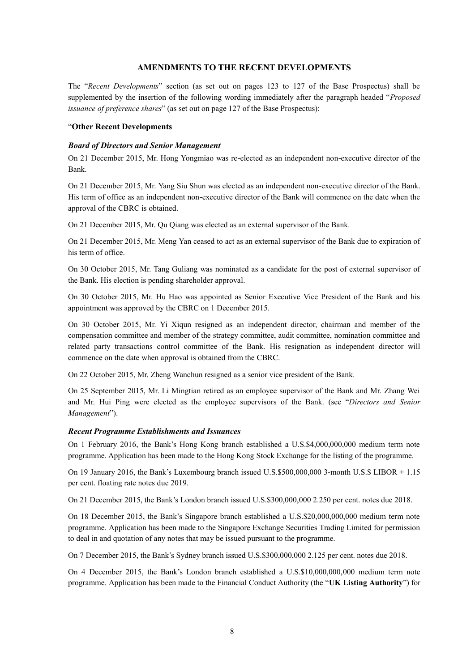# **AMENDMENTS TO THE RECENT DEVELOPMENTS**

The "*Recent Developments*" section (as set out on pages 123 to 127 of the Base Prospectus) shall be supplemented by the insertion of the following wording immediately after the paragraph headed "*Proposed issuance of preference shares*" (as set out on page 127 of the Base Prospectus):

#### "**Other Recent Developments**

#### *Board of Directors and Senior Management*

On 21 December 2015, Mr. Hong Yongmiao was re-elected as an independent non-executive director of the Bank.

On 21 December 2015, Mr. Yang Siu Shun was elected as an independent non-executive director of the Bank. His term of office as an independent non-executive director of the Bank will commence on the date when the approval of the CBRC is obtained.

On 21 December 2015, Mr. Qu Qiang was elected as an external supervisor of the Bank.

On 21 December 2015, Mr. Meng Yan ceased to act as an external supervisor of the Bank due to expiration of his term of office.

On 30 October 2015, Mr. Tang Guliang was nominated as a candidate for the post of external supervisor of the Bank. His election is pending shareholder approval.

On 30 October 2015, Mr. Hu Hao was appointed as Senior Executive Vice President of the Bank and his appointment was approved by the CBRC on 1 December 2015.

On 30 October 2015, Mr. Yi Xiqun resigned as an independent director, chairman and member of the compensation committee and member of the strategy committee, audit committee, nomination committee and related party transactions control committee of the Bank. His resignation as independent director will commence on the date when approval is obtained from the CBRC.

On 22 October 2015, Mr. Zheng Wanchun resigned as a senior vice president of the Bank.

On 25 September 2015, Mr. Li Mingtian retired as an employee supervisor of the Bank and Mr. Zhang Wei and Mr. Hui Ping were elected as the employee supervisors of the Bank. (see "*Directors and Senior Management*").

#### *Recent Programme Establishments and Issuances*

On 1 February 2016, the Bank's Hong Kong branch established a U.S.\$4,000,000,000 medium term note programme. Application has been made to the Hong Kong Stock Exchange for the listing of the programme.

On 19 January 2016, the Bank's Luxembourg branch issued U.S.\$500,000,000 3-month U.S.\$ LIBOR + 1.15 per cent. floating rate notes due 2019.

On 21 December 2015, the Bank's London branch issued U.S.\$300,000,000 2.250 per cent. notes due 2018.

On 18 December 2015, the Bank's Singapore branch established a U.S.\$20,000,000,000 medium term note programme. Application has been made to the Singapore Exchange Securities Trading Limited for permission to deal in and quotation of any notes that may be issued pursuant to the programme.

On 7 December 2015, the Bank's Sydney branch issued U.S.\$300,000,000 2.125 per cent. notes due 2018.

On 4 December 2015, the Bank's London branch established a U.S.\$10,000,000,000 medium term note programme. Application has been made to the Financial Conduct Authority (the "**UK Listing Authority**") for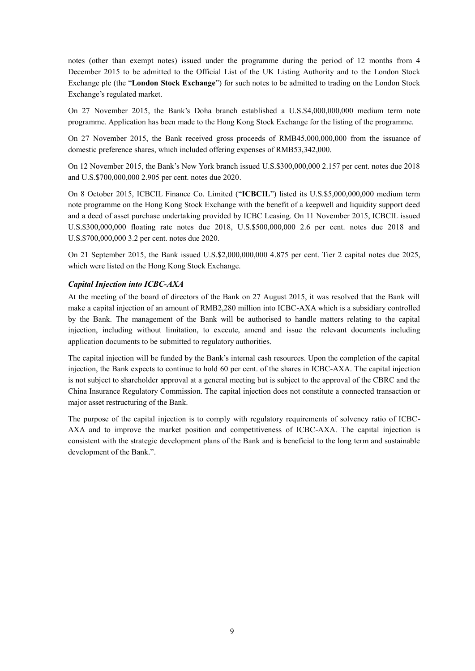notes (other than exempt notes) issued under the programme during the period of 12 months from 4 December 2015 to be admitted to the Official List of the UK Listing Authority and to the London Stock Exchange plc (the "**London Stock Exchange**") for such notes to be admitted to trading on the London Stock Exchange's regulated market.

On 27 November 2015, the Bank's Doha branch established a U.S.\$4,000,000,000 medium term note programme. Application has been made to the Hong Kong Stock Exchange for the listing of the programme.

On 27 November 2015, the Bank received gross proceeds of RMB45,000,000,000 from the issuance of domestic preference shares, which included offering expenses of RMB53,342,000.

On 12 November 2015, the Bank's New York branch issued U.S.\$300,000,000 2.157 per cent. notes due 2018 and U.S.\$700,000,000 2.905 per cent. notes due 2020.

On 8 October 2015, ICBCIL Finance Co. Limited ("**ICBCIL**") listed its U.S.\$5,000,000,000 medium term note programme on the Hong Kong Stock Exchange with the benefit of a keepwell and liquidity support deed and a deed of asset purchase undertaking provided by ICBC Leasing. On 11 November 2015, ICBCIL issued U.S.\$300,000,000 floating rate notes due 2018, U.S.\$500,000,000 2.6 per cent. notes due 2018 and U.S.\$700,000,000 3.2 per cent. notes due 2020.

On 21 September 2015, the Bank issued U.S.\$2,000,000,000 4.875 per cent. Tier 2 capital notes due 2025, which were listed on the Hong Kong Stock Exchange.

#### *Capital Injection into ICBC-AXA*

At the meeting of the board of directors of the Bank on 27 August 2015, it was resolved that the Bank will make a capital injection of an amount of RMB2,280 million into ICBC-AXA which is a subsidiary controlled by the Bank. The management of the Bank will be authorised to handle matters relating to the capital injection, including without limitation, to execute, amend and issue the relevant documents including application documents to be submitted to regulatory authorities.

The capital injection will be funded by the Bank's internal cash resources. Upon the completion of the capital injection, the Bank expects to continue to hold 60 per cent. of the shares in ICBC-AXA. The capital injection is not subject to shareholder approval at a general meeting but is subject to the approval of the CBRC and the China Insurance Regulatory Commission. The capital injection does not constitute a connected transaction or major asset restructuring of the Bank.

The purpose of the capital injection is to comply with regulatory requirements of solvency ratio of ICBC-AXA and to improve the market position and competitiveness of ICBC-AXA. The capital injection is consistent with the strategic development plans of the Bank and is beneficial to the long term and sustainable development of the Bank.".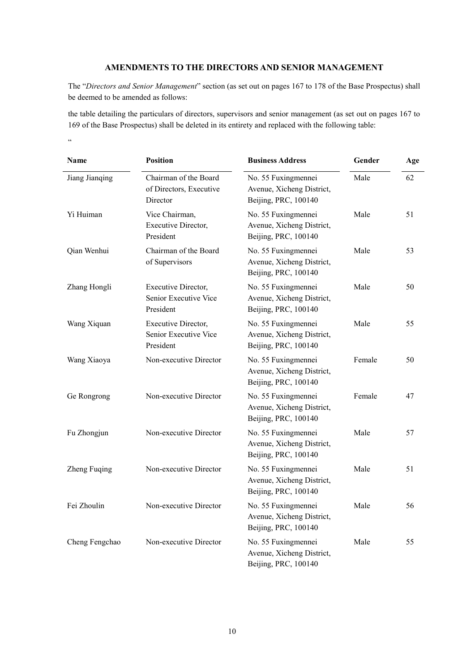# **AMENDMENTS TO THE DIRECTORS AND SENIOR MANAGEMENT**

The "*Directors and Senior Management*" section (as set out on pages 167 to 178 of the Base Prospectus) shall be deemed to be amended as follows:

the table detailing the particulars of directors, supervisors and senior management (as set out on pages 167 to 169 of the Base Prospectus) shall be deleted in its entirety and replaced with the following table:

 $\alpha$ 

| Name           | <b>Position</b>                                              | <b>Business Address</b>                                                  | Gender | Age |  |
|----------------|--------------------------------------------------------------|--------------------------------------------------------------------------|--------|-----|--|
| Jiang Jianqing | Chairman of the Board<br>of Directors, Executive<br>Director | No. 55 Fuxingmennei<br>Avenue, Xicheng District,<br>Beijing, PRC, 100140 | Male   | 62  |  |
| Yi Huiman      | Vice Chairman,<br>Executive Director,<br>President           | No. 55 Fuxingmennei<br>Avenue, Xicheng District,<br>Beijing, PRC, 100140 | Male   | 51  |  |
| Qian Wenhui    | Chairman of the Board<br>of Supervisors                      | No. 55 Fuxingmennei<br>Avenue, Xicheng District,<br>Beijing, PRC, 100140 | Male   | 53  |  |
| Zhang Hongli   | Executive Director,<br>Senior Executive Vice<br>President    | No. 55 Fuxingmennei<br>Avenue, Xicheng District,<br>Beijing, PRC, 100140 | Male   | 50  |  |
| Wang Xiquan    | Executive Director,<br>Senior Executive Vice<br>President    | No. 55 Fuxingmennei<br>Avenue, Xicheng District,<br>Beijing, PRC, 100140 | Male   | 55  |  |
| Wang Xiaoya    | Non-executive Director                                       | No. 55 Fuxingmennei<br>Avenue, Xicheng District,<br>Beijing, PRC, 100140 | Female | 50  |  |
| Ge Rongrong    | Non-executive Director                                       | No. 55 Fuxingmennei<br>Avenue, Xicheng District,<br>Beijing, PRC, 100140 | Female | 47  |  |
| Fu Zhongjun    | Non-executive Director                                       | No. 55 Fuxingmennei<br>Avenue, Xicheng District,<br>Beijing, PRC, 100140 | Male   | 57  |  |
| Zheng Fuqing   | Non-executive Director                                       | No. 55 Fuxingmennei<br>Avenue, Xicheng District,<br>Beijing, PRC, 100140 | Male   | 51  |  |
| Fei Zhoulin    | Non-executive Director                                       | No. 55 Fuxingmennei<br>Avenue, Xicheng District,<br>Beijing, PRC, 100140 | Male   | 56  |  |
| Cheng Fengchao | Non-executive Director                                       | No. 55 Fuxingmennei<br>Avenue, Xicheng District,<br>Beijing, PRC, 100140 | Male   | 55  |  |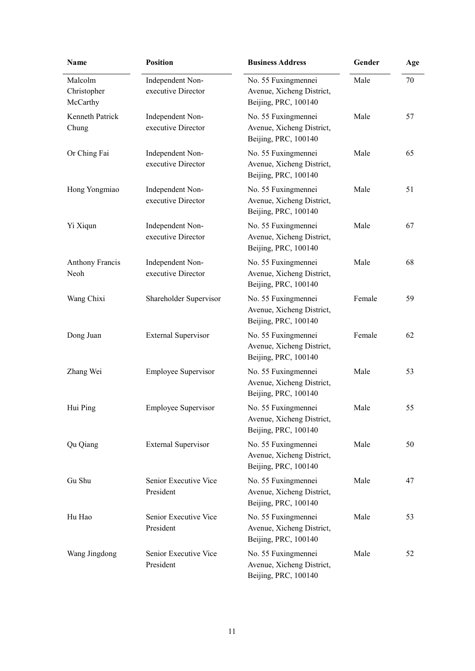| Name                               | <b>Position</b><br><b>Business Address</b> |                                                                          | Gender | Age |
|------------------------------------|--------------------------------------------|--------------------------------------------------------------------------|--------|-----|
| Malcolm<br>Christopher<br>McCarthy | Independent Non-<br>executive Director     | No. 55 Fuxingmennei<br>Avenue, Xicheng District,<br>Beijing, PRC, 100140 | Male   | 70  |
| <b>Kenneth Patrick</b><br>Chung    | Independent Non-<br>executive Director     | No. 55 Fuxingmennei<br>Avenue, Xicheng District,<br>Beijing, PRC, 100140 | Male   | 57  |
| Or Ching Fai                       | Independent Non-<br>executive Director     | No. 55 Fuxingmennei<br>Avenue, Xicheng District,<br>Beijing, PRC, 100140 | Male   | 65  |
| Hong Yongmiao                      | Independent Non-<br>executive Director     | No. 55 Fuxingmennei<br>Avenue, Xicheng District,<br>Beijing, PRC, 100140 | Male   | 51  |
| Yi Xiqun                           | Independent Non-<br>executive Director     | No. 55 Fuxingmennei<br>Avenue, Xicheng District,<br>Beijing, PRC, 100140 | Male   | 67  |
| <b>Anthony Francis</b><br>Neoh     | Independent Non-<br>executive Director     | No. 55 Fuxingmennei<br>Avenue, Xicheng District,<br>Beijing, PRC, 100140 | Male   | 68  |
| Wang Chixi                         | Shareholder Supervisor                     | No. 55 Fuxingmennei<br>Avenue, Xicheng District,<br>Beijing, PRC, 100140 | Female | 59  |
| Dong Juan                          | <b>External Supervisor</b>                 | No. 55 Fuxingmennei<br>Avenue, Xicheng District,<br>Beijing, PRC, 100140 | Female | 62  |
| Zhang Wei                          | <b>Employee Supervisor</b>                 | No. 55 Fuxingmennei<br>Avenue, Xicheng District,<br>Beijing, PRC, 100140 | Male   | 53  |
| Hui Ping                           | <b>Employee Supervisor</b>                 | No. 55 Fuxingmennei<br>Avenue, Xicheng District,<br>Beijing, PRC, 100140 | Male   | 55  |
| Qu Qiang                           | <b>External Supervisor</b>                 | No. 55 Fuxingmennei<br>Avenue, Xicheng District,<br>Beijing, PRC, 100140 | Male   | 50  |
| Gu Shu                             | Senior Executive Vice<br>President         | No. 55 Fuxingmennei<br>Avenue, Xicheng District,<br>Beijing, PRC, 100140 | Male   | 47  |
| Hu Hao                             | Senior Executive Vice<br>President         | No. 55 Fuxingmennei<br>Avenue, Xicheng District,<br>Beijing, PRC, 100140 | Male   | 53  |
| Wang Jingdong                      | Senior Executive Vice<br>President         | No. 55 Fuxingmennei<br>Avenue, Xicheng District,<br>Beijing, PRC, 100140 | Male   | 52  |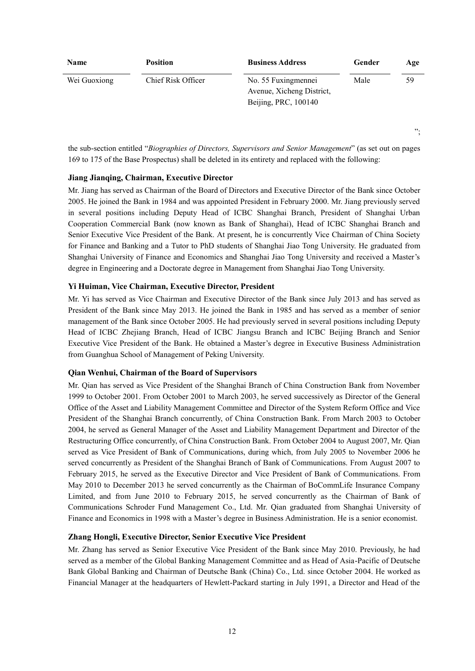| <b>Name</b>  | <b>Position</b>    | <b>Business Address</b>                                                  | Gender | Age |
|--------------|--------------------|--------------------------------------------------------------------------|--------|-----|
| Wei Guoxiong | Chief Risk Officer | No. 55 Fuxingmennei<br>Avenue, Xicheng District,<br>Beijing, PRC, 100140 | Male   | 59  |

the sub-section entitled "*Biographies of Directors, Supervisors and Senior Management*" (as set out on pages 169 to 175 of the Base Prospectus) shall be deleted in its entirety and replaced with the following:

";

# **Jiang Jianqing, Chairman, Executive Director**

Mr. Jiang has served as Chairman of the Board of Directors and Executive Director of the Bank since October 2005. He joined the Bank in 1984 and was appointed President in February 2000. Mr. Jiang previously served in several positions including Deputy Head of ICBC Shanghai Branch, President of Shanghai Urban Cooperation Commercial Bank (now known as Bank of Shanghai), Head of ICBC Shanghai Branch and Senior Executive Vice President of the Bank. At present, he is concurrently Vice Chairman of China Society for Finance and Banking and a Tutor to PhD students of Shanghai Jiao Tong University. He graduated from Shanghai University of Finance and Economics and Shanghai Jiao Tong University and received a Master's degree in Engineering and a Doctorate degree in Management from Shanghai Jiao Tong University.

# **Yi Huiman, Vice Chairman, Executive Director, President**

Mr. Yi has served as Vice Chairman and Executive Director of the Bank since July 2013 and has served as President of the Bank since May 2013. He joined the Bank in 1985 and has served as a member of senior management of the Bank since October 2005. He had previously served in several positions including Deputy Head of ICBC Zhejiang Branch, Head of ICBC Jiangsu Branch and ICBC Beijing Branch and Senior Executive Vice President of the Bank. He obtained a Master's degree in Executive Business Administration from Guanghua School of Management of Peking University.

#### **Qian Wenhui, Chairman of the Board of Supervisors**

Mr. Qian has served as Vice President of the Shanghai Branch of China Construction Bank from November 1999 to October 2001. From October 2001 to March 2003, he served successively as Director of the General Office of the Asset and Liability Management Committee and Director of the System Reform Office and Vice President of the Shanghai Branch concurrently, of China Construction Bank. From March 2003 to October 2004, he served as General Manager of the Asset and Liability Management Department and Director of the Restructuring Office concurrently, of China Construction Bank. From October 2004 to August 2007, Mr. Qian served as Vice President of Bank of Communications, during which, from July 2005 to November 2006 he served concurrently as President of the Shanghai Branch of Bank of Communications. From August 2007 to February 2015, he served as the Executive Director and Vice President of Bank of Communications. From May 2010 to December 2013 he served concurrently as the Chairman of BoCommLife Insurance Company Limited, and from June 2010 to February 2015, he served concurrently as the Chairman of Bank of Communications Schroder Fund Management Co., Ltd. Mr. Qian graduated from Shanghai University of Finance and Economics in 1998 with a Master's degree in Business Administration. He is a senior economist.

# **Zhang Hongli, Executive Director, Senior Executive Vice President**

Mr. Zhang has served as Senior Executive Vice President of the Bank since May 2010. Previously, he had served as a member of the Global Banking Management Committee and as Head of Asia-Pacific of Deutsche Bank Global Banking and Chairman of Deutsche Bank (China) Co., Ltd. since October 2004. He worked as Financial Manager at the headquarters of Hewlett-Packard starting in July 1991, a Director and Head of the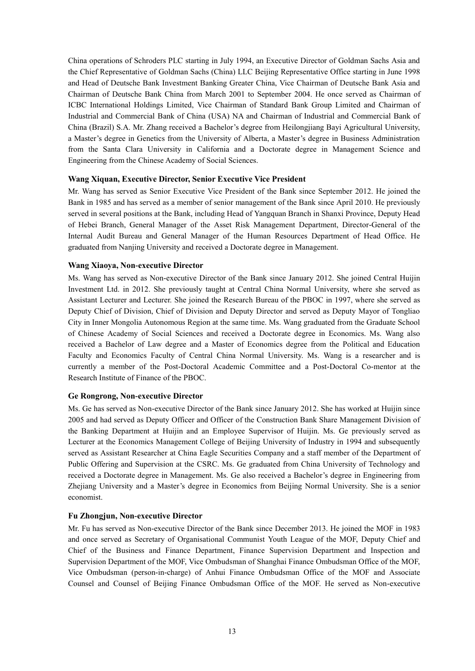China operations of Schroders PLC starting in July 1994, an Executive Director of Goldman Sachs Asia and the Chief Representative of Goldman Sachs (China) LLC Beijing Representative Office starting in June 1998 and Head of Deutsche Bank Investment Banking Greater China, Vice Chairman of Deutsche Bank Asia and Chairman of Deutsche Bank China from March 2001 to September 2004. He once served as Chairman of ICBC International Holdings Limited, Vice Chairman of Standard Bank Group Limited and Chairman of Industrial and Commercial Bank of China (USA) NA and Chairman of Industrial and Commercial Bank of China (Brazil) S.A. Mr. Zhang received a Bachelor's degree from Heilongjiang Bayi Agricultural University, a Master's degree in Genetics from the University of Alberta, a Master's degree in Business Administration from the Santa Clara University in California and a Doctorate degree in Management Science and Engineering from the Chinese Academy of Social Sciences.

# **Wang Xiquan, Executive Director, Senior Executive Vice President**

Mr. Wang has served as Senior Executive Vice President of the Bank since September 2012. He joined the Bank in 1985 and has served as a member of senior management of the Bank since April 2010. He previously served in several positions at the Bank, including Head of Yangquan Branch in Shanxi Province, Deputy Head of Hebei Branch, General Manager of the Asset Risk Management Department, Director-General of the Internal Audit Bureau and General Manager of the Human Resources Department of Head Office. He graduated from Nanjing University and received a Doctorate degree in Management.

#### **Wang Xiaoya, Non-executive Director**

Ms. Wang has served as Non-executive Director of the Bank since January 2012. She joined Central Huijin Investment Ltd. in 2012. She previously taught at Central China Normal University, where she served as Assistant Lecturer and Lecturer. She joined the Research Bureau of the PBOC in 1997, where she served as Deputy Chief of Division, Chief of Division and Deputy Director and served as Deputy Mayor of Tongliao City in Inner Mongolia Autonomous Region at the same time. Ms. Wang graduated from the Graduate School of Chinese Academy of Social Sciences and received a Doctorate degree in Economics. Ms. Wang also received a Bachelor of Law degree and a Master of Economics degree from the Political and Education Faculty and Economics Faculty of Central China Normal University. Ms. Wang is a researcher and is currently a member of the Post-Doctoral Academic Committee and a Post-Doctoral Co-mentor at the Research Institute of Finance of the PBOC.

#### **Ge Rongrong, Non-executive Director**

Ms. Ge has served as Non-executive Director of the Bank since January 2012. She has worked at Huijin since 2005 and had served as Deputy Officer and Officer of the Construction Bank Share Management Division of the Banking Department at Huijin and an Employee Supervisor of Huijin. Ms. Ge previously served as Lecturer at the Economics Management College of Beijing University of Industry in 1994 and subsequently served as Assistant Researcher at China Eagle Securities Company and a staff member of the Department of Public Offering and Supervision at the CSRC. Ms. Ge graduated from China University of Technology and received a Doctorate degree in Management. Ms. Ge also received a Bachelor's degree in Engineering from Zhejiang University and a Master's degree in Economics from Beijing Normal University. She is a senior economist.

#### **Fu Zhongjun, Non-executive Director**

Mr. Fu has served as Non-executive Director of the Bank since December 2013. He joined the MOF in 1983 and once served as Secretary of Organisational Communist Youth League of the MOF, Deputy Chief and Chief of the Business and Finance Department, Finance Supervision Department and Inspection and Supervision Department of the MOF, Vice Ombudsman of Shanghai Finance Ombudsman Office of the MOF, Vice Ombudsman (person-in-charge) of Anhui Finance Ombudsman Office of the MOF and Associate Counsel and Counsel of Beijing Finance Ombudsman Office of the MOF. He served as Non-executive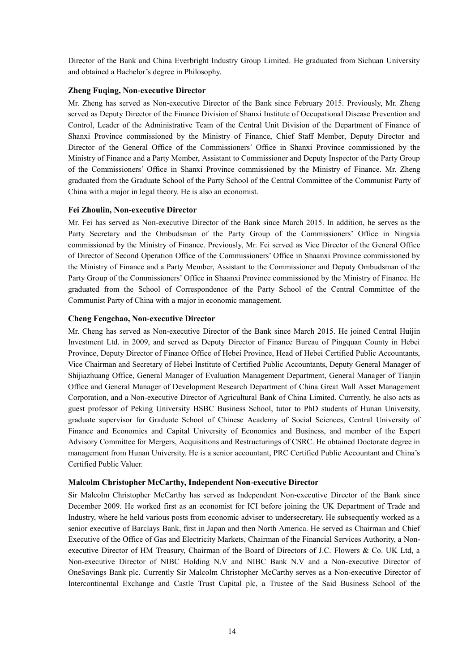Director of the Bank and China Everbright Industry Group Limited. He graduated from Sichuan University and obtained a Bachelor's degree in Philosophy.

# **Zheng Fuqing, Non-executive Director**

Mr. Zheng has served as Non-executive Director of the Bank since February 2015. Previously, Mr. Zheng served as Deputy Director of the Finance Division of Shanxi Institute of Occupational Disease Prevention and Control, Leader of the Administrative Team of the Central Unit Division of the Department of Finance of Shanxi Province commissioned by the Ministry of Finance, Chief Staff Member, Deputy Director and Director of the General Office of the Commissioners' Office in Shanxi Province commissioned by the Ministry of Finance and a Party Member, Assistant to Commissioner and Deputy Inspector of the Party Group of the Commissioners' Office in Shanxi Province commissioned by the Ministry of Finance. Mr. Zheng graduated from the Graduate School of the Party School of the Central Committee of the Communist Party of China with a major in legal theory. He is also an economist.

# **Fei Zhoulin, Non-executive Director**

Mr. Fei has served as Non-executive Director of the Bank since March 2015. In addition, he serves as the Party Secretary and the Ombudsman of the Party Group of the Commissioners' Office in Ningxia commissioned by the Ministry of Finance. Previously, Mr. Fei served as Vice Director of the General Office of Director of Second Operation Office of the Commissioners' Office in Shaanxi Province commissioned by the Ministry of Finance and a Party Member, Assistant to the Commissioner and Deputy Ombudsman of the Party Group of the Commissioners' Office in Shaanxi Province commissioned by the Ministry of Finance. He graduated from the School of Correspondence of the Party School of the Central Committee of the Communist Party of China with a major in economic management.

# **Cheng Fengchao, Non-executive Director**

Mr. Cheng has served as Non-executive Director of the Bank since March 2015. He joined Central Huijin Investment Ltd. in 2009, and served as Deputy Director of Finance Bureau of Pingquan County in Hebei Province, Deputy Director of Finance Office of Hebei Province, Head of Hebei Certified Public Accountants, Vice Chairman and Secretary of Hebei Institute of Certified Public Accountants, Deputy General Manager of Shijiazhuang Office, General Manager of Evaluation Management Department, General Manager of Tianjin Office and General Manager of Development Research Department of China Great Wall Asset Management Corporation, and a Non-executive Director of Agricultural Bank of China Limited. Currently, he also acts as guest professor of Peking University HSBC Business School, tutor to PhD students of Hunan University, graduate supervisor for Graduate School of Chinese Academy of Social Sciences, Central University of Finance and Economics and Capital University of Economics and Business, and member of the Expert Advisory Committee for Mergers, Acquisitions and Restructurings of CSRC. He obtained Doctorate degree in management from Hunan University. He is a senior accountant, PRC Certified Public Accountant and China's Certified Public Valuer.

# **Malcolm Christopher McCarthy, Independent Non-executive Director**

Sir Malcolm Christopher McCarthy has served as Independent Non-executive Director of the Bank since December 2009. He worked first as an economist for ICI before joining the UK Department of Trade and Industry, where he held various posts from economic adviser to undersecretary. He subsequently worked as a senior executive of Barclays Bank, first in Japan and then North America. He served as Chairman and Chief Executive of the Office of Gas and Electricity Markets, Chairman of the Financial Services Authority, a Nonexecutive Director of HM Treasury, Chairman of the Board of Directors of J.C. Flowers & Co. UK Ltd, a Non-executive Director of NIBC Holding N.V and NIBC Bank N.V and a Non-executive Director of OneSavings Bank plc. Currently Sir Malcolm Christopher McCarthy serves as a Non-executive Director of Intercontinental Exchange and Castle Trust Capital plc, a Trustee of the Said Business School of the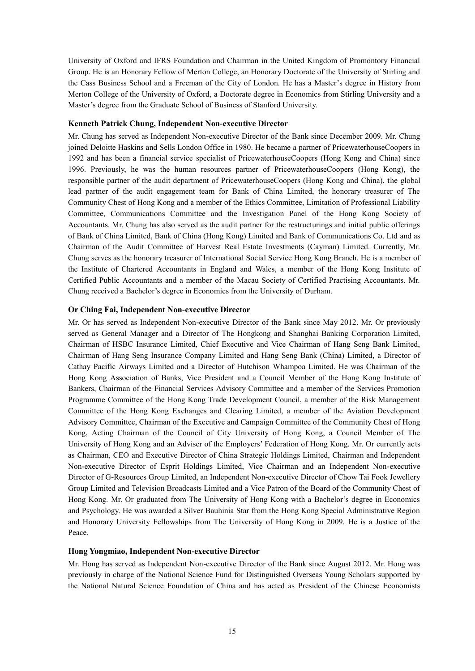University of Oxford and IFRS Foundation and Chairman in the United Kingdom of Promontory Financial Group. He is an Honorary Fellow of Merton College, an Honorary Doctorate of the University of Stirling and the Cass Business School and a Freeman of the City of London. He has a Master's degree in History from Merton College of the University of Oxford, a Doctorate degree in Economics from Stirling University and a Master's degree from the Graduate School of Business of Stanford University.

## **Kenneth Patrick Chung, Independent Non-executive Director**

Mr. Chung has served as Independent Non-executive Director of the Bank since December 2009. Mr. Chung joined Deloitte Haskins and Sells London Office in 1980. He became a partner of PricewaterhouseCoopers in 1992 and has been a financial service specialist of PricewaterhouseCoopers (Hong Kong and China) since 1996. Previously, he was the human resources partner of PricewaterhouseCoopers (Hong Kong), the responsible partner of the audit department of PricewaterhouseCoopers (Hong Kong and China), the global lead partner of the audit engagement team for Bank of China Limited, the honorary treasurer of The Community Chest of Hong Kong and a member of the Ethics Committee, Limitation of Professional Liability Committee, Communications Committee and the Investigation Panel of the Hong Kong Society of Accountants. Mr. Chung has also served as the audit partner for the restructurings and initial public offerings of Bank of China Limited, Bank of China (Hong Kong) Limited and Bank of Communications Co. Ltd and as Chairman of the Audit Committee of Harvest Real Estate Investments (Cayman) Limited. Currently, Mr. Chung serves as the honorary treasurer of International Social Service Hong Kong Branch. He is a member of the Institute of Chartered Accountants in England and Wales, a member of the Hong Kong Institute of Certified Public Accountants and a member of the Macau Society of Certified Practising Accountants. Mr. Chung received a Bachelor's degree in Economics from the University of Durham.

# **Or Ching Fai, Independent Non-executive Director**

Mr. Or has served as Independent Non-executive Director of the Bank since May 2012. Mr. Or previously served as General Manager and a Director of The Hongkong and Shanghai Banking Corporation Limited, Chairman of HSBC Insurance Limited, Chief Executive and Vice Chairman of Hang Seng Bank Limited, Chairman of Hang Seng Insurance Company Limited and Hang Seng Bank (China) Limited, a Director of Cathay Pacific Airways Limited and a Director of Hutchison Whampoa Limited. He was Chairman of the Hong Kong Association of Banks, Vice President and a Council Member of the Hong Kong Institute of Bankers, Chairman of the Financial Services Advisory Committee and a member of the Services Promotion Programme Committee of the Hong Kong Trade Development Council, a member of the Risk Management Committee of the Hong Kong Exchanges and Clearing Limited, a member of the Aviation Development Advisory Committee, Chairman of the Executive and Campaign Committee of the Community Chest of Hong Kong, Acting Chairman of the Council of City University of Hong Kong, a Council Member of The University of Hong Kong and an Adviser of the Employers' Federation of Hong Kong. Mr. Or currently acts as Chairman, CEO and Executive Director of China Strategic Holdings Limited, Chairman and Independent Non-executive Director of Esprit Holdings Limited, Vice Chairman and an Independent Non-executive Director of G-Resources Group Limited, an Independent Non-executive Director of Chow Tai Fook Jewellery Group Limited and Television Broadcasts Limited and a Vice Patron of the Board of the Community Chest of Hong Kong. Mr. Or graduated from The University of Hong Kong with a Bachelor's degree in Economics and Psychology. He was awarded a Silver Bauhinia Star from the Hong Kong Special Administrative Region and Honorary University Fellowships from The University of Hong Kong in 2009. He is a Justice of the Peace.

#### **Hong Yongmiao, Independent Non-executive Director**

Mr. Hong has served as Independent Non-executive Director of the Bank since August 2012. Mr. Hong was previously in charge of the National Science Fund for Distinguished Overseas Young Scholars supported by the National Natural Science Foundation of China and has acted as President of the Chinese Economists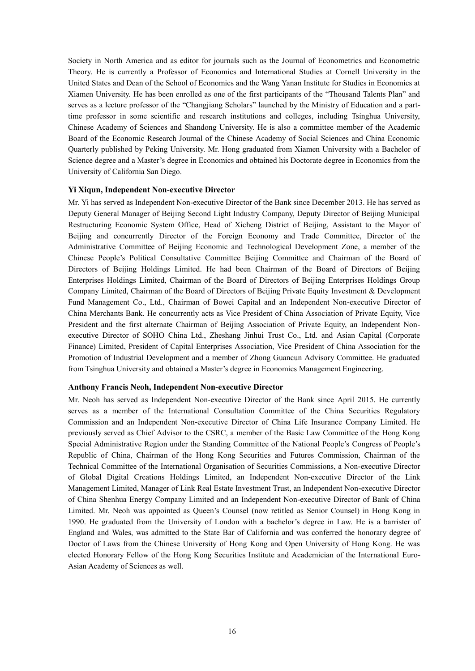Society in North America and as editor for journals such as the Journal of Econometrics and Econometric Theory. He is currently a Professor of Economics and International Studies at Cornell University in the United States and Dean of the School of Economics and the Wang Yanan Institute for Studies in Economics at Xiamen University. He has been enrolled as one of the first participants of the "Thousand Talents Plan" and serves as a lecture professor of the "Changjiang Scholars" launched by the Ministry of Education and a parttime professor in some scientific and research institutions and colleges, including Tsinghua University, Chinese Academy of Sciences and Shandong University. He is also a committee member of the Academic Board of the Economic Research Journal of the Chinese Academy of Social Sciences and China Economic Quarterly published by Peking University. Mr. Hong graduated from Xiamen University with a Bachelor of Science degree and a Master's degree in Economics and obtained his Doctorate degree in Economics from the University of California San Diego.

#### **Yi Xiqun, Independent Non-executive Director**

Mr. Yi has served as Independent Non-executive Director of the Bank since December 2013. He has served as Deputy General Manager of Beijing Second Light Industry Company, Deputy Director of Beijing Municipal Restructuring Economic System Office, Head of Xicheng District of Beijing, Assistant to the Mayor of Beijing and concurrently Director of the Foreign Economy and Trade Committee, Director of the Administrative Committee of Beijing Economic and Technological Development Zone, a member of the Chinese People's Political Consultative Committee Beijing Committee and Chairman of the Board of Directors of Beijing Holdings Limited. He had been Chairman of the Board of Directors of Beijing Enterprises Holdings Limited, Chairman of the Board of Directors of Beijing Enterprises Holdings Group Company Limited, Chairman of the Board of Directors of Beijing Private Equity Investment & Development Fund Management Co., Ltd., Chairman of Bowei Capital and an Independent Non-executive Director of China Merchants Bank. He concurrently acts as Vice President of China Association of Private Equity, Vice President and the first alternate Chairman of Beijing Association of Private Equity, an Independent Nonexecutive Director of SOHO China Ltd., Zheshang Jinhui Trust Co., Ltd. and Asian Capital (Corporate Finance) Limited, President of Capital Enterprises Association, Vice President of China Association for the Promotion of Industrial Development and a member of Zhong Guancun Advisory Committee. He graduated from Tsinghua University and obtained a Master's degree in Economics Management Engineering.

#### **Anthony Francis Neoh, Independent Non-executive Director**

Mr. Neoh has served as Independent Non-executive Director of the Bank since April 2015. He currently serves as a member of the International Consultation Committee of the China Securities Regulatory Commission and an Independent Non-executive Director of China Life Insurance Company Limited. He previously served as Chief Advisor to the CSRC, a member of the Basic Law Committee of the Hong Kong Special Administrative Region under the Standing Committee of the National People's Congress of People's Republic of China, Chairman of the Hong Kong Securities and Futures Commission, Chairman of the Technical Committee of the International Organisation of Securities Commissions, a Non-executive Director of Global Digital Creations Holdings Limited, an Independent Non-executive Director of the Link Management Limited, Manager of Link Real Estate Investment Trust, an Independent Non-executive Director of China Shenhua Energy Company Limited and an Independent Non-executive Director of Bank of China Limited. Mr. Neoh was appointed as Queen's Counsel (now retitled as Senior Counsel) in Hong Kong in 1990. He graduated from the University of London with a bachelor's degree in Law. He is a barrister of England and Wales, was admitted to the State Bar of California and was conferred the honorary degree of Doctor of Laws from the Chinese University of Hong Kong and Open University of Hong Kong. He was elected Honorary Fellow of the Hong Kong Securities Institute and Academician of the International Euro-Asian Academy of Sciences as well.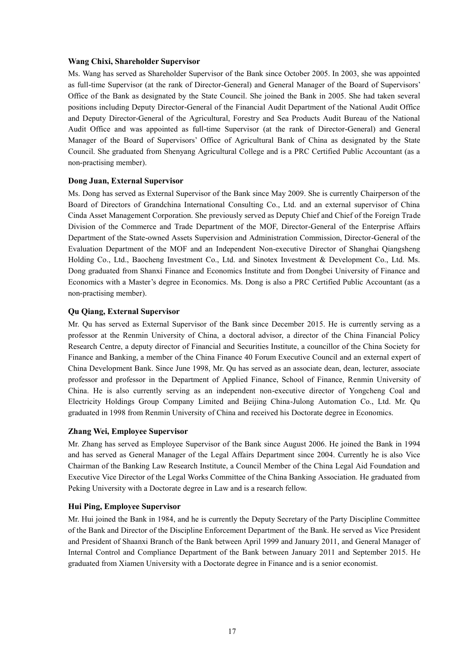## **Wang Chixi, Shareholder Supervisor**

Ms. Wang has served as Shareholder Supervisor of the Bank since October 2005. In 2003, she was appointed as full-time Supervisor (at the rank of Director-General) and General Manager of the Board of Supervisors' Office of the Bank as designated by the State Council. She joined the Bank in 2005. She had taken several positions including Deputy Director-General of the Financial Audit Department of the National Audit Office and Deputy Director-General of the Agricultural, Forestry and Sea Products Audit Bureau of the National Audit Office and was appointed as full-time Supervisor (at the rank of Director-General) and General Manager of the Board of Supervisors' Office of Agricultural Bank of China as designated by the State Council. She graduated from Shenyang Agricultural College and is a PRC Certified Public Accountant (as a non-practising member).

# **Dong Juan, External Supervisor**

Ms. Dong has served as External Supervisor of the Bank since May 2009. She is currently Chairperson of the Board of Directors of Grandchina International Consulting Co., Ltd. and an external supervisor of China Cinda Asset Management Corporation. She previously served as Deputy Chief and Chief of the Foreign Trade Division of the Commerce and Trade Department of the MOF, Director-General of the Enterprise Affairs Department of the State-owned Assets Supervision and Administration Commission, Director-General of the Evaluation Department of the MOF and an Independent Non-executive Director of Shanghai Qiangsheng Holding Co., Ltd., Baocheng Investment Co., Ltd. and Sinotex Investment & Development Co., Ltd. Ms. Dong graduated from Shanxi Finance and Economics Institute and from Dongbei University of Finance and Economics with a Master's degree in Economics. Ms. Dong is also a PRC Certified Public Accountant (as a non-practising member).

# **Qu Qiang, External Supervisor**

Mr. Qu has served as External Supervisor of the Bank since December 2015. He is currently serving as a professor at the Renmin University of China, a doctoral advisor, a director of the China Financial Policy Research Centre, a deputy director of Financial and Securities Institute, a councillor of the China Society for Finance and Banking, a member of the China Finance 40 Forum Executive Council and an external expert of China Development Bank. Since June 1998, Mr. Qu has served as an associate dean, dean, lecturer, associate professor and professor in the Department of Applied Finance, School of Finance, Renmin University of China. He is also currently serving as an independent non-executive director of Yongcheng Coal and Electricity Holdings Group Company Limited and Beijing China-Julong Automation Co., Ltd. Mr. Qu graduated in 1998 from Renmin University of China and received his Doctorate degree in Economics.

# **Zhang Wei, Employee Supervisor**

Mr. Zhang has served as Employee Supervisor of the Bank since August 2006. He joined the Bank in 1994 and has served as General Manager of the Legal Affairs Department since 2004. Currently he is also Vice Chairman of the Banking Law Research Institute, a Council Member of the China Legal Aid Foundation and Executive Vice Director of the Legal Works Committee of the China Banking Association. He graduated from Peking University with a Doctorate degree in Law and is a research fellow.

#### **Hui Ping, Employee Supervisor**

Mr. Hui joined the Bank in 1984, and he is currently the Deputy Secretary of the Party Discipline Committee of the Bank and Director of the Discipline Enforcement Department of the Bank. He served as Vice President and President of Shaanxi Branch of the Bank between April 1999 and January 2011, and General Manager of Internal Control and Compliance Department of the Bank between January 2011 and September 2015. He graduated from Xiamen University with a Doctorate degree in Finance and is a senior economist.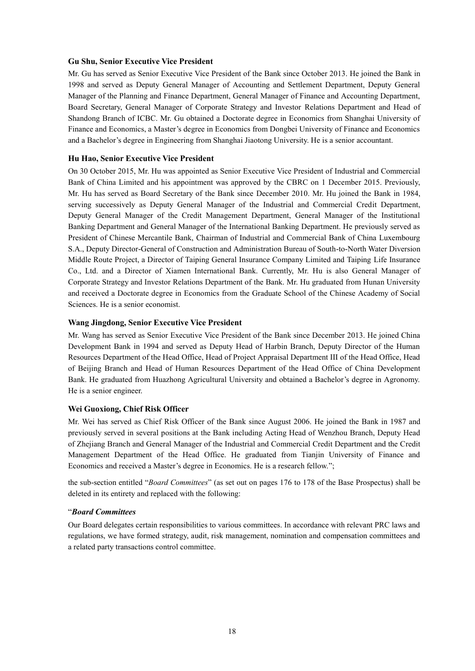#### **Gu Shu, Senior Executive Vice President**

Mr. Gu has served as Senior Executive Vice President of the Bank since October 2013. He joined the Bank in 1998 and served as Deputy General Manager of Accounting and Settlement Department, Deputy General Manager of the Planning and Finance Department, General Manager of Finance and Accounting Department, Board Secretary, General Manager of Corporate Strategy and Investor Relations Department and Head of Shandong Branch of ICBC. Mr. Gu obtained a Doctorate degree in Economics from Shanghai University of Finance and Economics, a Master's degree in Economics from Dongbei University of Finance and Economics and a Bachelor's degree in Engineering from Shanghai Jiaotong University. He is a senior accountant.

## **Hu Hao, Senior Executive Vice President**

On 30 October 2015, Mr. Hu was appointed as Senior Executive Vice President of Industrial and Commercial Bank of China Limited and his appointment was approved by the CBRC on 1 December 2015. Previously, Mr. Hu has served as Board Secretary of the Bank since December 2010. Mr. Hu joined the Bank in 1984, serving successively as Deputy General Manager of the Industrial and Commercial Credit Department, Deputy General Manager of the Credit Management Department, General Manager of the Institutional Banking Department and General Manager of the International Banking Department. He previously served as President of Chinese Mercantile Bank, Chairman of Industrial and Commercial Bank of China Luxembourg S.A., Deputy Director-General of Construction and Administration Bureau of South-to-North Water Diversion Middle Route Project, a Director of Taiping General Insurance Company Limited and Taiping Life Insurance Co., Ltd. and a Director of Xiamen International Bank. Currently, Mr. Hu is also General Manager of Corporate Strategy and Investor Relations Department of the Bank. Mr. Hu graduated from Hunan University and received a Doctorate degree in Economics from the Graduate School of the Chinese Academy of Social Sciences. He is a senior economist.

# **Wang Jingdong, Senior Executive Vice President**

Mr. Wang has served as Senior Executive Vice President of the Bank since December 2013. He joined China Development Bank in 1994 and served as Deputy Head of Harbin Branch, Deputy Director of the Human Resources Department of the Head Office, Head of Project Appraisal Department III of the Head Office, Head of Beijing Branch and Head of Human Resources Department of the Head Office of China Development Bank. He graduated from Huazhong Agricultural University and obtained a Bachelor's degree in Agronomy. He is a senior engineer.

#### **Wei Guoxiong, Chief Risk Officer**

Mr. Wei has served as Chief Risk Officer of the Bank since August 2006. He joined the Bank in 1987 and previously served in several positions at the Bank including Acting Head of Wenzhou Branch, Deputy Head of Zhejiang Branch and General Manager of the Industrial and Commercial Credit Department and the Credit Management Department of the Head Office. He graduated from Tianjin University of Finance and Economics and received a Master's degree in Economics. He is a research fellow.";

the sub-section entitled "*Board Committees*" (as set out on pages 176 to 178 of the Base Prospectus) shall be deleted in its entirety and replaced with the following:

#### "*Board Committees*

Our Board delegates certain responsibilities to various committees. In accordance with relevant PRC laws and regulations, we have formed strategy, audit, risk management, nomination and compensation committees and a related party transactions control committee.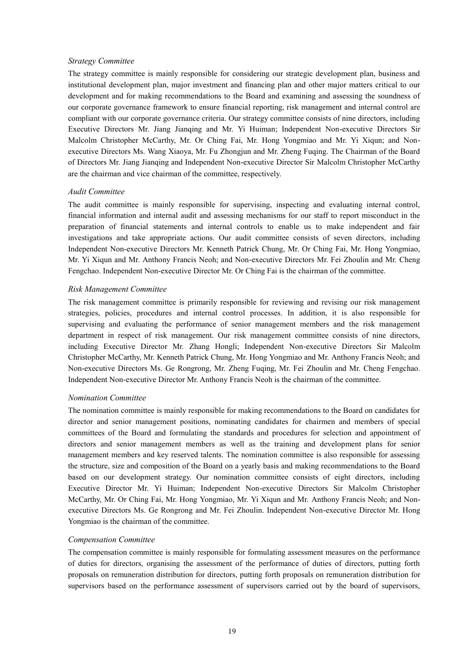#### *Strategy Committee*

The strategy committee is mainly responsible for considering our strategic development plan, business and institutional development plan, major investment and financing plan and other major matters critical to our development and for making recommendations to the Board and examining and assessing the soundness of our corporate governance framework to ensure financial reporting, risk management and internal control are compliant with our corporate governance criteria. Our strategy committee consists of nine directors, including Executive Directors Mr. Jiang Jianqing and Mr. Yi Huiman; Independent Non-executive Directors Sir Malcolm Christopher McCarthy, Mr. Or Ching Fai, Mr. Hong Yongmiao and Mr. Yi Xiqun; and Nonexecutive Directors Ms. Wang Xiaoya, Mr. Fu Zhongjun and Mr. Zheng Fuqing. The Chairman of the Board of Directors Mr. Jiang Jianqing and Independent Non-executive Director Sir Malcolm Christopher McCarthy are the chairman and vice chairman of the committee, respectively.

#### *Audit Committee*

The audit committee is mainly responsible for supervising, inspecting and evaluating internal control, financial information and internal audit and assessing mechanisms for our staff to report misconduct in the preparation of financial statements and internal controls to enable us to make independent and fair investigations and take appropriate actions. Our audit committee consists of seven directors, including Independent Non-executive Directors Mr. Kenneth Patrick Chung, Mr. Or Ching Fai, Mr. Hong Yongmiao, Mr. Yi Xiqun and Mr. Anthony Francis Neoh; and Non-executive Directors Mr. Fei Zhoulin and Mr. Cheng Fengchao. Independent Non-executive Director Mr. Or Ching Fai is the chairman of the committee.

#### *Risk Management Committee*

The risk management committee is primarily responsible for reviewing and revising our risk management strategies, policies, procedures and internal control processes. In addition, it is also responsible for supervising and evaluating the performance of senior management members and the risk management department in respect of risk management. Our risk management committee consists of nine directors, including Executive Director Mr. Zhang Hongli; Independent Non-executive Directors Sir Malcolm Christopher McCarthy, Mr. Kenneth Patrick Chung, Mr. Hong Yongmiao and Mr. Anthony Francis Neoh; and Non-executive Directors Ms. Ge Rongrong, Mr. Zheng Fuqing, Mr. Fei Zhoulin and Mr. Cheng Fengchao. Independent Non-executive Director Mr. Anthony Francis Neoh is the chairman of the committee.

#### *Nomination Committee*

The nomination committee is mainly responsible for making recommendations to the Board on candidates for director and senior management positions, nominating candidates for chairmen and members of special committees of the Board and formulating the standards and procedures for selection and appointment of directors and senior management members as well as the training and development plans for senior management members and key reserved talents. The nomination committee is also responsible for assessing the structure, size and composition of the Board on a yearly basis and making recommendations to the Board based on our development strategy. Our nomination committee consists of eight directors, including Executive Director Mr. Yi Huiman; Independent Non-executive Directors Sir Malcolm Christopher McCarthy, Mr. Or Ching Fai, Mr. Hong Yongmiao, Mr. Yi Xiqun and Mr. Anthony Francis Neoh; and Nonexecutive Directors Ms. Ge Rongrong and Mr. Fei Zhoulin. Independent Non-executive Director Mr. Hong Yongmiao is the chairman of the committee.

#### *Compensation Committee*

The compensation committee is mainly responsible for formulating assessment measures on the performance of duties for directors, organising the assessment of the performance of duties of directors, putting forth proposals on remuneration distribution for directors, putting forth proposals on remuneration distribution for supervisors based on the performance assessment of supervisors carried out by the board of supervisors,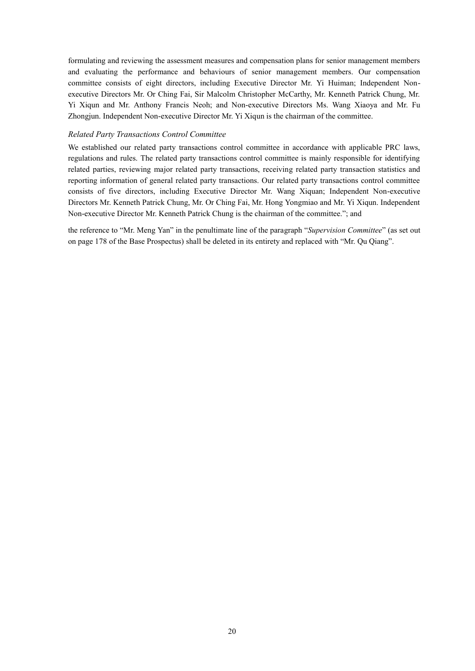formulating and reviewing the assessment measures and compensation plans for senior management members and evaluating the performance and behaviours of senior management members. Our compensation committee consists of eight directors, including Executive Director Mr. Yi Huiman; Independent Nonexecutive Directors Mr. Or Ching Fai, Sir Malcolm Christopher McCarthy, Mr. Kenneth Patrick Chung, Mr. Yi Xiqun and Mr. Anthony Francis Neoh; and Non-executive Directors Ms. Wang Xiaoya and Mr. Fu Zhongjun. Independent Non-executive Director Mr. Yi Xiqun is the chairman of the committee.

#### *Related Party Transactions Control Committee*

We established our related party transactions control committee in accordance with applicable PRC laws, regulations and rules. The related party transactions control committee is mainly responsible for identifying related parties, reviewing major related party transactions, receiving related party transaction statistics and reporting information of general related party transactions. Our related party transactions control committee consists of five directors, including Executive Director Mr. Wang Xiquan; Independent Non-executive Directors Mr. Kenneth Patrick Chung, Mr. Or Ching Fai, Mr. Hong Yongmiao and Mr. Yi Xiqun. Independent Non-executive Director Mr. Kenneth Patrick Chung is the chairman of the committee."; and

the reference to "Mr. Meng Yan" in the penultimate line of the paragraph "*Supervision Committee*" (as set out on page 178 of the Base Prospectus) shall be deleted in its entirety and replaced with "Mr. Qu Qiang".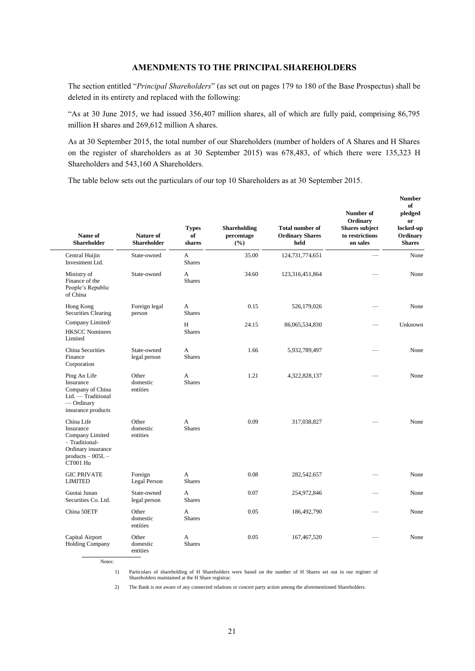# **AMENDMENTS TO THE PRINCIPAL SHAREHOLDERS**

The section entitled "*Principal Shareholders*" (as set out on pages 179 to 180 of the Base Prospectus) shall be deleted in its entirety and replaced with the following:

"As at 30 June 2015, we had issued 356,407 million shares, all of which are fully paid, comprising 86,795 million H shares and 269,612 million A shares.

As at 30 September 2015, the total number of our Shareholders (number of holders of A Shares and H Shares on the register of shareholders as at 30 September 2015) was 678,483, of which there were 135,323 H Shareholders and 543,160 A Shareholders.

The table below sets out the particulars of our top 10 Shareholders as at 30 September 2015.

| Name of<br>Shareholder                                                                                               | Nature of<br><b>Shareholder</b> | <b>Types</b><br>of<br>shares  | <b>Shareholding</b><br>percentage<br>(%) | <b>Total number of</b><br><b>Ordinary Shares</b><br>held | Number of<br>Ordinary<br><b>Shares subject</b><br>to restrictions<br>on sales | <b>Number</b><br>of<br>pledged<br>or<br>locked-up<br>Ordinary<br><b>Shares</b> |
|----------------------------------------------------------------------------------------------------------------------|---------------------------------|-------------------------------|------------------------------------------|----------------------------------------------------------|-------------------------------------------------------------------------------|--------------------------------------------------------------------------------|
| Central Huijin<br>Investment Ltd.                                                                                    | State-owned                     | A<br><b>Shares</b>            | 35.00                                    | 124,731,774,651                                          |                                                                               | None                                                                           |
| Ministry of<br>Finance of the<br>People's Republic<br>of China                                                       | State-owned                     | A<br><b>Shares</b>            | 34.60                                    | 123,316,451,864                                          |                                                                               | None                                                                           |
| Hong Kong<br>Securities Clearing                                                                                     | Foreign legal<br>person         | A<br><b>Shares</b>            | 0.15                                     | 526,179,026                                              |                                                                               | None                                                                           |
| Company Limited/<br><b>HKSCC Nominees</b><br>Limited                                                                 |                                 | H<br><b>Shares</b>            | 24.15                                    | 86,065,534,830                                           |                                                                               | Unknown                                                                        |
| China Securities<br>Finance<br>Corporation                                                                           | State-owned<br>legal person     | A<br><b>Shares</b>            | 1.66                                     | 5,932,789,497                                            |                                                                               | None                                                                           |
| Ping An Life<br>Insurance<br>Company of China<br>Ltd. — Traditional<br>$-$ Ordinary<br>insurance products            | Other<br>domestic<br>entities   | A<br><b>Shares</b>            | 1.21                                     | 4,322,828,137                                            |                                                                               | None                                                                           |
| China Life<br>Insurance<br>Company Limited<br>- Traditional-<br>Ordinary insurance<br>products $-005L -$<br>CT001 Hu | Other<br>domestic<br>entities   | $\mathsf{A}$<br><b>Shares</b> | 0.09                                     | 317,038,827                                              |                                                                               | None                                                                           |
| <b>GIC PRIVATE</b><br><b>LIMITED</b>                                                                                 | Foreign<br>Legal Person         | A<br><b>Shares</b>            | 0.08                                     | 282,542,657                                              |                                                                               | None                                                                           |
| Guotai Junan<br>Securities Co. Ltd.                                                                                  | State-owned<br>legal person     | A<br><b>Shares</b>            | 0.07                                     | 254,972,846                                              |                                                                               | None                                                                           |
| China 50ETF                                                                                                          | Other<br>domestic<br>entities   | A<br><b>Shares</b>            | 0.05                                     | 186,492,790                                              |                                                                               | None                                                                           |
| Capital Airport<br><b>Holding Company</b>                                                                            | Other<br>domestic<br>entities   | A<br><b>Shares</b>            | 0.05                                     | 167,467,520                                              |                                                                               | None                                                                           |

Notes:

1) Particulars of shareholding of H Shareholders were based on the number of H Shares set out in our register of Shareholders maintained at the H Share registrar.

2) The Bank is not aware of any connected relations or concert party action among the aforementioned Shareholders.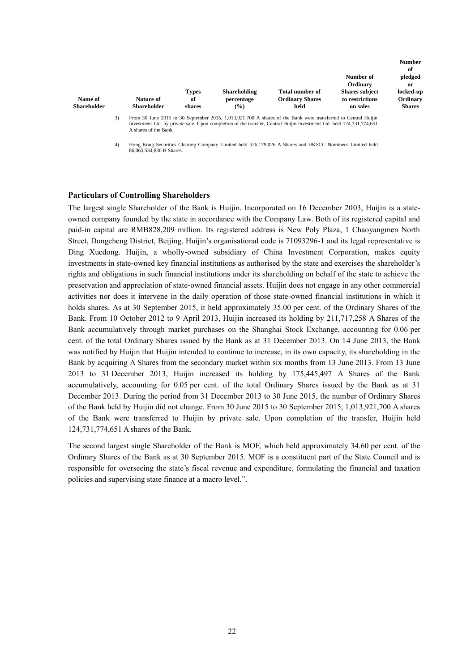|                               |    |                                 |                              |                                                    |                                                                                                               |                                                      | <b>Number</b><br>of                    |
|-------------------------------|----|---------------------------------|------------------------------|----------------------------------------------------|---------------------------------------------------------------------------------------------------------------|------------------------------------------------------|----------------------------------------|
|                               |    |                                 |                              |                                                    |                                                                                                               | Number of<br>Ordinary                                | pledged<br>or                          |
| Name of<br><b>Shareholder</b> |    | Nature of<br><b>Shareholder</b> | <b>Types</b><br>of<br>shares | <b>Shareholding</b><br>percentage<br>$\frac{9}{6}$ | <b>Total number of</b><br><b>Ordinary Shares</b><br>held                                                      | <b>Shares subject</b><br>to restrictions<br>on sales | locked-up<br>Ordinary<br><b>Shares</b> |
|                               | 3) |                                 |                              |                                                    | From 30 June 2015 to 30 September 2015, 1,013,921,700 A shares of the Bank were transferred to Central Huijin |                                                      |                                        |

3) From 30 June 2015 to 30 September 2015, 1,013,921,700 A shares of the Bank were transferred to Central Huijin<br>Investment Ltd. by private sale. Upon completion of the transfer, Central Huijin Investment Ltd. held 124,731 A shares of the Bank.

4) Hong Kong Securities Clearing Company Limited held 526,179,026 A Shares and HKSCC Nominees Limited held 86,065,534,830 H Shares.

#### **Particulars of Controlling Shareholders**

The largest single Shareholder of the Bank is Huijin. Incorporated on 16 December 2003, Huijin is a stateowned company founded by the state in accordance with the Company Law. Both of its registered capital and paid-in capital are RMB828,209 million. Its registered address is New Poly Plaza, 1 Chaoyangmen North Street, Dongcheng District, Beijing. Huijin's organisational code is 71093296-1 and its legal representative is Ding Xuedong. Huijin, a wholly-owned subsidiary of China Investment Corporation, makes equity investments in state-owned key financial institutions as authorised by the state and exercises the shareholder's rights and obligations in such financial institutions under its shareholding on behalf of the state to achieve the preservation and appreciation of state-owned financial assets. Huijin does not engage in any other commercial activities nor does it intervene in the daily operation of those state-owned financial institutions in which it holds shares. As at 30 September 2015, it held approximately 35.00 per cent. of the Ordinary Shares of the Bank. From 10 October 2012 to 9 April 2013, Huijin increased its holding by 211,717,258 A Shares of the Bank accumulatively through market purchases on the Shanghai Stock Exchange, accounting for 0.06 per cent. of the total Ordinary Shares issued by the Bank as at 31 December 2013. On 14 June 2013, the Bank was notified by Huijin that Huijin intended to continue to increase, in its own capacity, its shareholding in the Bank by acquiring A Shares from the secondary market within six months from 13 June 2013. From 13 June 2013 to 31 December 2013, Huijin increased its holding by 175,445,497 A Shares of the Bank accumulatively, accounting for 0.05 per cent. of the total Ordinary Shares issued by the Bank as at 31 December 2013. During the period from 31 December 2013 to 30 June 2015, the number of Ordinary Shares of the Bank held by Huijin did not change. From 30 June 2015 to 30 September 2015, 1,013,921,700 A shares of the Bank were transferred to Huijin by private sale. Upon completion of the transfer, Huijin held 124,731,774,651 A shares of the Bank.

The second largest single Shareholder of the Bank is MOF, which held approximately 34.60 per cent. of the Ordinary Shares of the Bank as at 30 September 2015. MOF is a constituent part of the State Council and is responsible for overseeing the state's fiscal revenue and expenditure, formulating the financial and taxation policies and supervising state finance at a macro level.".